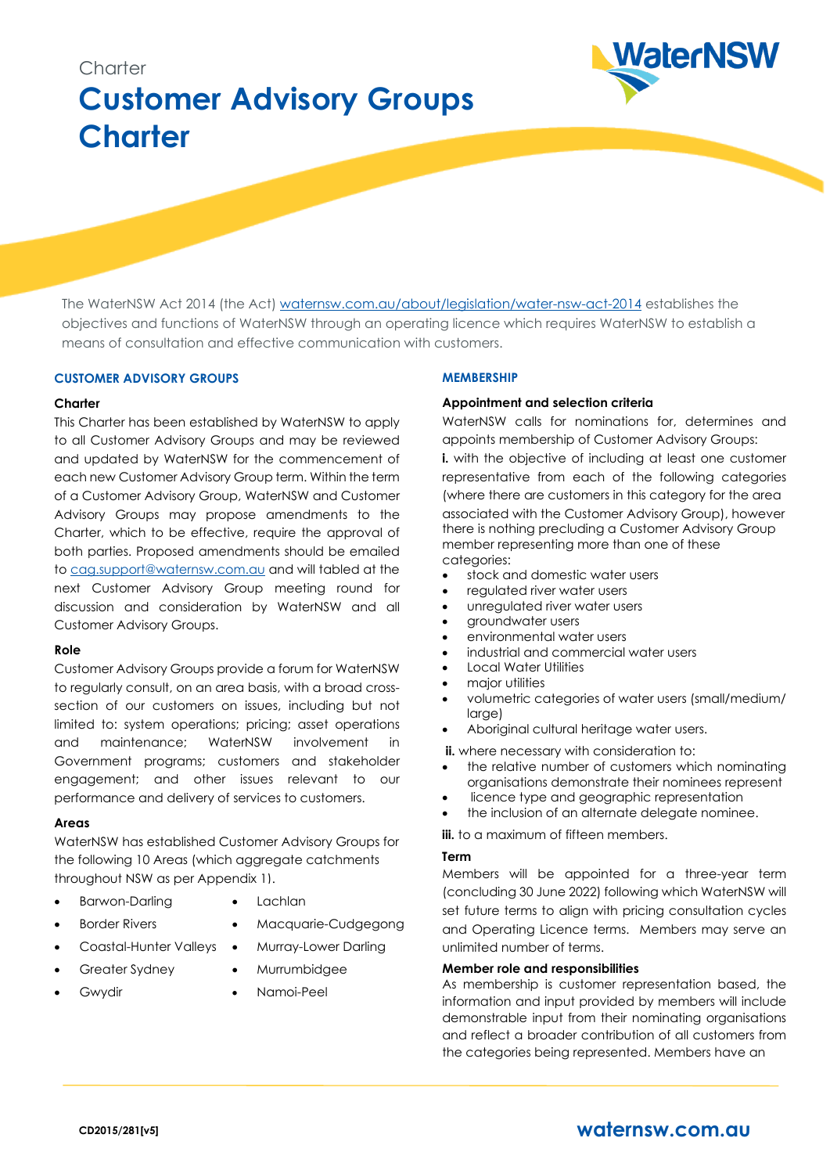# **Charter Customer Advisory Groups Charter**



The WaterNSW Act 2014 (the Act) waternsw.com.au/about/legislation/water-nsw-act-2014 establishes the objectives and functions of WaterNSW through an operating licence which requires WaterNSW to establish a means of consultation and effective communication with customers.

### **CUSTOMER ADVISORY GROUPS**

#### **Charter**

This Charter has been established by WaterNSW to apply to all Customer Advisory Groups and may be reviewed and updated by WaterNSW for the commencement of each new Customer Advisory Group term. Within the term of a Customer Advisory Group, WaterNSW and Customer Advisory Groups may propose amendments to the Charter, which to be effective, require the approval of both parties. Proposed amendments should be emailed t[o cag.support@waternsw.com.au](mailto:cag.support@waternsw.com.au) and will tabled at the next Customer Advisory Group meeting round for discussion and consideration by WaterNSW and all Customer Advisory Groups.

#### **Role**

Customer Advisory Groups provide a forum for WaterNSW to regularly consult, on an area basis, with a broad crosssection of our customers on issues, including but not limited to: system operations; pricing; asset operations and maintenance; WaterNSW involvement in Government programs; customers and stakeholder engagement; and other issues relevant to our performance and delivery of services to customers.

#### **Areas**

WaterNSW has established Customer Advisory Groups for the following 10 Areas (which aggregate catchments throughout NSW as per Appendix 1).

- Barwon-Darling
- Lachlan
- **Border Rivers**
- Macquarie-Cudgegong
- Murray-Lower Darling
- Coastal-Hunter Valleys Greater Sydney
- Murrumbidgee
- **Gwydir**
- Namoi-Peel

## **MEMBERSHIP**

#### **Appointment and selection criteria**

WaterNSW calls for nominations for, determines and appoints membership of Customer Advisory Groups: **i.** with the objective of including at least one customer representative from each of the following categories (where there are customers in this category for the area associated with the Customer Advisory Group), however there is nothing precluding a Customer Advisory Group member representing more than one of these categories:

- stock and domestic water users
- regulated river water users
- unregulated river water users
- groundwater users
- environmental water users
- industrial and commercial water users
- Local Water Utilities
- major utilities
- volumetric categories of water users (small/medium/ large)
- Aboriginal cultural heritage water users.

**ii.** where necessary with consideration to:

- the relative number of customers which nominating organisations demonstrate their nominees represent
- licence type and geographic representation
- the inclusion of an alternate delegate nominee.

**iii.** to a maximum of fifteen members.

#### **Term**

Members will be appointed for a three-year term (concluding 30 June 2022) following which WaterNSW will set future terms to align with pricing consultation cycles and Operating Licence terms. Members may serve an unlimited number of terms.

#### **Member role and responsibilities**

As membership is customer representation based, the information and input provided by members will include demonstrable input from their nominating organisations and reflect a broader contribution of all customers from the categories being represented. Members have an

# **CD2015/281[v5] [waternsw.com.au](http://www.waternsw.com.au/)**